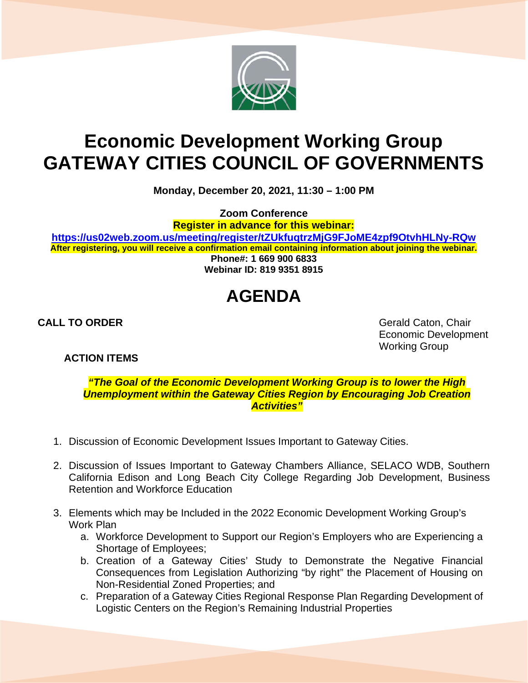

## **Economic Development Working Group GATEWAY CITIES COUNCIL OF GOVERNMENTS**

**Monday, December 20, 2021, 11:30 – 1:00 PM**

**Zoom Conference**

**Register in advance for this webinar:**

**<https://us02web.zoom.us/meeting/register/tZUkfuqtrzMjG9FJoME4zpf9OtvhHLNy-RQw> After registering, you will receive a confirmation email containing information about joining the webinar. Phone#: 1 669 900 6833**

**Webinar ID: 819 9351 8915**

## **AGENDA**

**ACTION ITEMS**

**CALL TO ORDER** Gerald Caton, Chair Economic Development Working Group

*"The Goal of the Economic Development Working Group is to lower the High Unemployment within the Gateway Cities Region by Encouraging Job Creation Activities"*

- 1. Discussion of Economic Development Issues Important to Gateway Cities.
- 2. Discussion of Issues Important to Gateway Chambers Alliance, SELACO WDB, Southern California Edison and Long Beach City College Regarding Job Development, Business Retention and Workforce Education
- 3. Elements which may be Included in the 2022 Economic Development Working Group's Work Plan
	- a. Workforce Development to Support our Region's Employers who are Experiencing a Shortage of Employees;
	- b. Creation of a Gateway Cities' Study to Demonstrate the Negative Financial Consequences from Legislation Authorizing "by right" the Placement of Housing on Non-Residential Zoned Properties; and
	- c. Preparation of a Gateway Cities Regional Response Plan Regarding Development of Logistic Centers on the Region's Remaining Industrial Properties